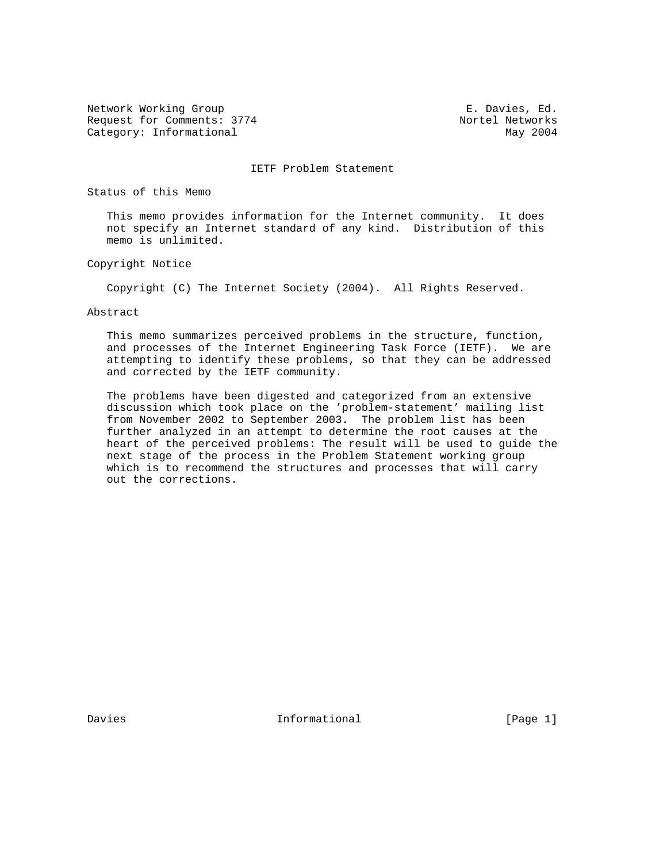Network Working Group **E. Davies, Ed.** Request for Comments: 3774 Nortel Networks Category: Informational May 2004

IETF Problem Statement

Status of this Memo

 This memo provides information for the Internet community. It does not specify an Internet standard of any kind. Distribution of this memo is unlimited.

Copyright Notice

Copyright (C) The Internet Society (2004). All Rights Reserved.

Abstract

 This memo summarizes perceived problems in the structure, function, and processes of the Internet Engineering Task Force (IETF). We are attempting to identify these problems, so that they can be addressed and corrected by the IETF community.

 The problems have been digested and categorized from an extensive discussion which took place on the 'problem-statement' mailing list from November 2002 to September 2003. The problem list has been further analyzed in an attempt to determine the root causes at the heart of the perceived problems: The result will be used to guide the next stage of the process in the Problem Statement working group which is to recommend the structures and processes that will carry out the corrections.

Davies **Informational Informational** [Page 1]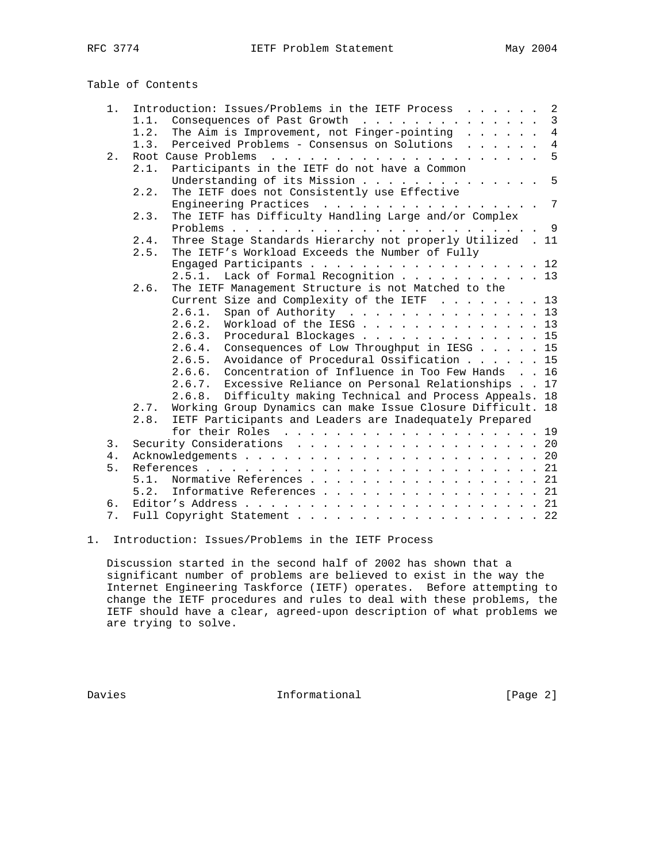### 1. Introduction: Issues/Problems in the IETF Process . . . . . . 2 1.1. Consequences of Past Growth . . . . . . . . . . . . . 3 1.2. The Aim is Improvement, not Finger-pointing . . . . . . 4 1.3. Perceived Problems - Consensus on Solutions . . . . . . 4 2. Root Cause Problems . . . . . . . . . . . . . . . . . . . . . 5 2.1. Participants in the IETF do not have a Common Understanding of its Mission . . . . . . . . . . . . . 5 2.2. The IETF does not Consistently use Effective Engineering Practices . . . . . . . . . . . . . . . 7 2.3. The IETF has Difficulty Handling Large and/or Complex Problems . . . . . . . . . . . . . . . . . . . . . . . . 9 2.4. Three Stage Standards Hierarchy not properly Utilized . 11<br>2.5. The IETF's Workload Exceeds the Number of Fully The IETF's Workload Exceeds the Number of Fully Engaged Participants . . . . . . . . . . . . . . . . . 12 2.5.1. Lack of Formal Recognition . . . . . . . . . . . 13 2.6. The IETF Management Structure is not Matched to the Current Size and Complexity of the IETF . . . . . . . 13 2.6.1. Span of Authority . . . . . . . . . . . . . . . 13 2.6.2. Workload of the IESG . . . . . . . . . . . . . . 13 2.6.3. Procedural Blockages . . . . . . . . . . . . . . 15 2.6.4. Consequences of Low Throughput in IESG . . . . . 15 2.6.5. Avoidance of Procedural Ossification . . . . . . 15 2.6.6. Concentration of Influence in Too Few Hands . . 16 2.6.7. Excessive Reliance on Personal Relationships . . 17 2.6.8. Difficulty making Technical and Process Appeals. 18 2.7. Working Group Dynamics can make Issue Closure Difficult. 18 2.8. IETF Participants and Leaders are Inadequately Prepared for their Roles . . . . . . . . . . . . . . . . . . . . 19 3. Security Considerations . . . . . . . . . . . . . . . . . . 20 4. Acknowledgements . . . . . . . . . . . . . . . . . . . . . . . 20 5. References . . . . . . . . . . . . . . . . . . . . . . . . . . 21 5.1. Normative References . . . . . . . . . . . . . . . . . . 21 5.2. Informative References . . . . . . . . . . . . . . . . . 21 6. Editor's Address . . . . . . . . . . . . . . . . . . . . . . . 21 7. Full Copyright Statement . . . . . . . . . . . . . . . . . . 22

# Table of Contents

1. Introduction: Issues/Problems in the IETF Process

 Discussion started in the second half of 2002 has shown that a significant number of problems are believed to exist in the way the Internet Engineering Taskforce (IETF) operates. Before attempting to change the IETF procedures and rules to deal with these problems, the IETF should have a clear, agreed-upon description of what problems we are trying to solve.

Davies **Informational Informational** [Page 2]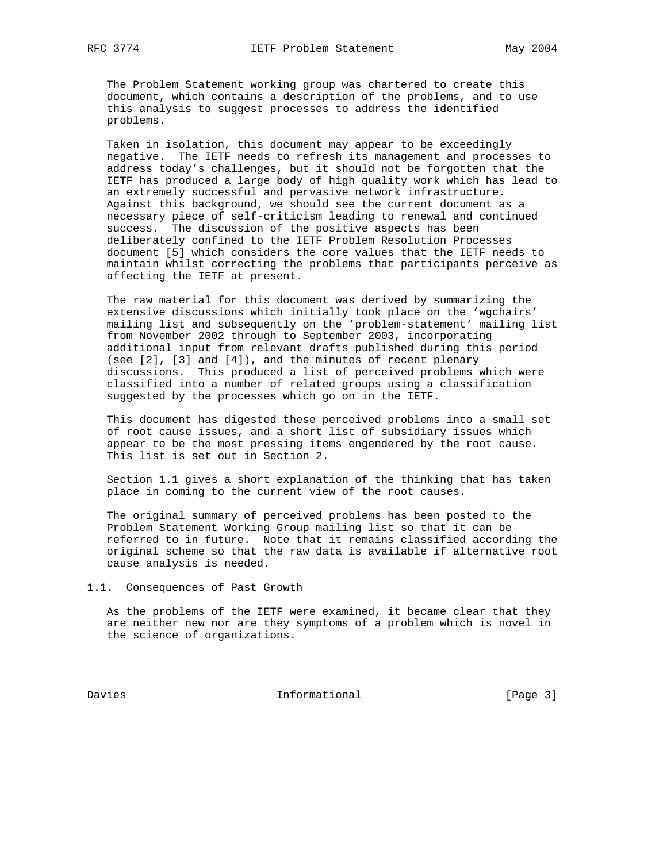The Problem Statement working group was chartered to create this document, which contains a description of the problems, and to use this analysis to suggest processes to address the identified problems.

 Taken in isolation, this document may appear to be exceedingly negative. The IETF needs to refresh its management and processes to address today's challenges, but it should not be forgotten that the IETF has produced a large body of high quality work which has lead to an extremely successful and pervasive network infrastructure. Against this background, we should see the current document as a necessary piece of self-criticism leading to renewal and continued success. The discussion of the positive aspects has been deliberately confined to the IETF Problem Resolution Processes document [5] which considers the core values that the IETF needs to maintain whilst correcting the problems that participants perceive as affecting the IETF at present.

 The raw material for this document was derived by summarizing the extensive discussions which initially took place on the 'wgchairs' mailing list and subsequently on the 'problem-statement' mailing list from November 2002 through to September 2003, incorporating additional input from relevant drafts published during this period (see [2], [3] and [4]), and the minutes of recent plenary discussions. This produced a list of perceived problems which were classified into a number of related groups using a classification suggested by the processes which go on in the IETF.

 This document has digested these perceived problems into a small set of root cause issues, and a short list of subsidiary issues which appear to be the most pressing items engendered by the root cause. This list is set out in Section 2.

 Section 1.1 gives a short explanation of the thinking that has taken place in coming to the current view of the root causes.

 The original summary of perceived problems has been posted to the Problem Statement Working Group mailing list so that it can be referred to in future. Note that it remains classified according the original scheme so that the raw data is available if alternative root cause analysis is needed.

1.1. Consequences of Past Growth

 As the problems of the IETF were examined, it became clear that they are neither new nor are they symptoms of a problem which is novel in the science of organizations.

Davies 1nformational 1999 [Page 3]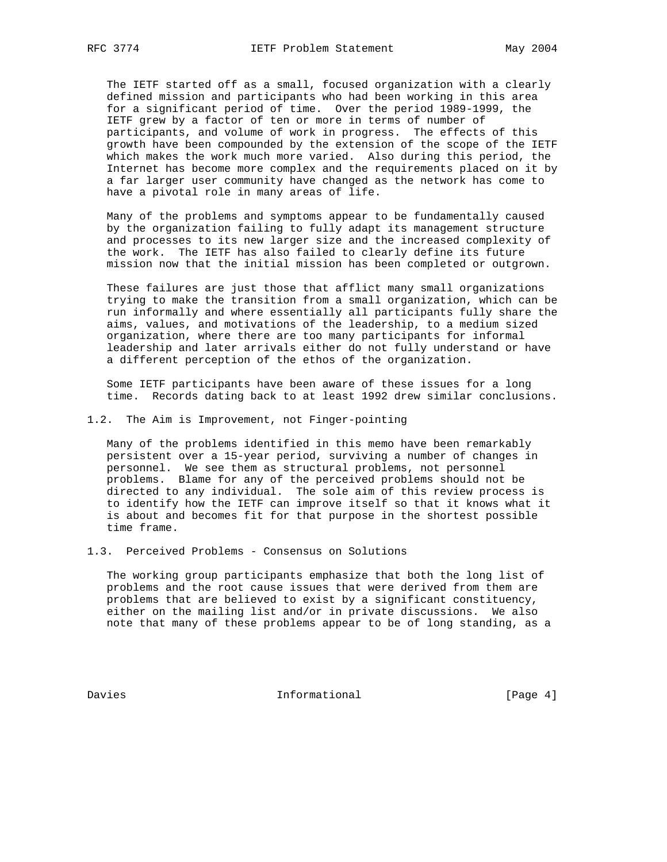The IETF started off as a small, focused organization with a clearly defined mission and participants who had been working in this area for a significant period of time. Over the period 1989-1999, the IETF grew by a factor of ten or more in terms of number of participants, and volume of work in progress. The effects of this growth have been compounded by the extension of the scope of the IETF which makes the work much more varied. Also during this period, the Internet has become more complex and the requirements placed on it by a far larger user community have changed as the network has come to have a pivotal role in many areas of life.

 Many of the problems and symptoms appear to be fundamentally caused by the organization failing to fully adapt its management structure and processes to its new larger size and the increased complexity of the work. The IETF has also failed to clearly define its future mission now that the initial mission has been completed or outgrown.

 These failures are just those that afflict many small organizations trying to make the transition from a small organization, which can be run informally and where essentially all participants fully share the aims, values, and motivations of the leadership, to a medium sized organization, where there are too many participants for informal leadership and later arrivals either do not fully understand or have a different perception of the ethos of the organization.

 Some IETF participants have been aware of these issues for a long time. Records dating back to at least 1992 drew similar conclusions.

1.2. The Aim is Improvement, not Finger-pointing

 Many of the problems identified in this memo have been remarkably persistent over a 15-year period, surviving a number of changes in personnel. We see them as structural problems, not personnel problems. Blame for any of the perceived problems should not be directed to any individual. The sole aim of this review process is to identify how the IETF can improve itself so that it knows what it is about and becomes fit for that purpose in the shortest possible time frame.

1.3. Perceived Problems - Consensus on Solutions

 The working group participants emphasize that both the long list of problems and the root cause issues that were derived from them are problems that are believed to exist by a significant constituency, either on the mailing list and/or in private discussions. We also note that many of these problems appear to be of long standing, as a

Davies **Informational** [Page 4]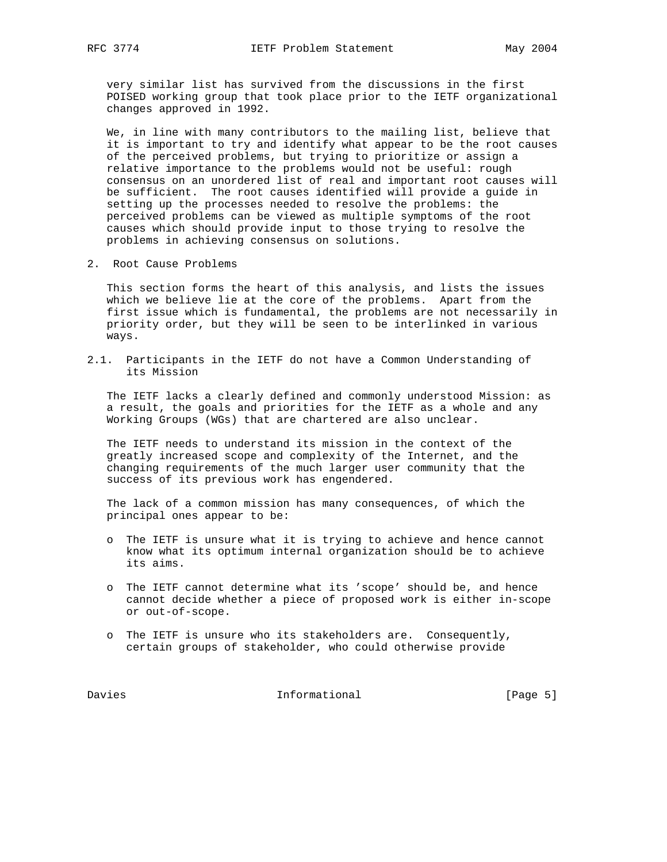very similar list has survived from the discussions in the first POISED working group that took place prior to the IETF organizational changes approved in 1992.

 We, in line with many contributors to the mailing list, believe that it is important to try and identify what appear to be the root causes of the perceived problems, but trying to prioritize or assign a relative importance to the problems would not be useful: rough consensus on an unordered list of real and important root causes will be sufficient. The root causes identified will provide a guide in setting up the processes needed to resolve the problems: the perceived problems can be viewed as multiple symptoms of the root causes which should provide input to those trying to resolve the problems in achieving consensus on solutions.

2. Root Cause Problems

 This section forms the heart of this analysis, and lists the issues which we believe lie at the core of the problems. Apart from the first issue which is fundamental, the problems are not necessarily in priority order, but they will be seen to be interlinked in various ways.

2.1. Participants in the IETF do not have a Common Understanding of its Mission

 The IETF lacks a clearly defined and commonly understood Mission: as a result, the goals and priorities for the IETF as a whole and any Working Groups (WGs) that are chartered are also unclear.

 The IETF needs to understand its mission in the context of the greatly increased scope and complexity of the Internet, and the changing requirements of the much larger user community that the success of its previous work has engendered.

 The lack of a common mission has many consequences, of which the principal ones appear to be:

- o The IETF is unsure what it is trying to achieve and hence cannot know what its optimum internal organization should be to achieve its aims.
- o The IETF cannot determine what its 'scope' should be, and hence cannot decide whether a piece of proposed work is either in-scope or out-of-scope.
- o The IETF is unsure who its stakeholders are. Consequently, certain groups of stakeholder, who could otherwise provide

Davies 1nformational [Page 5]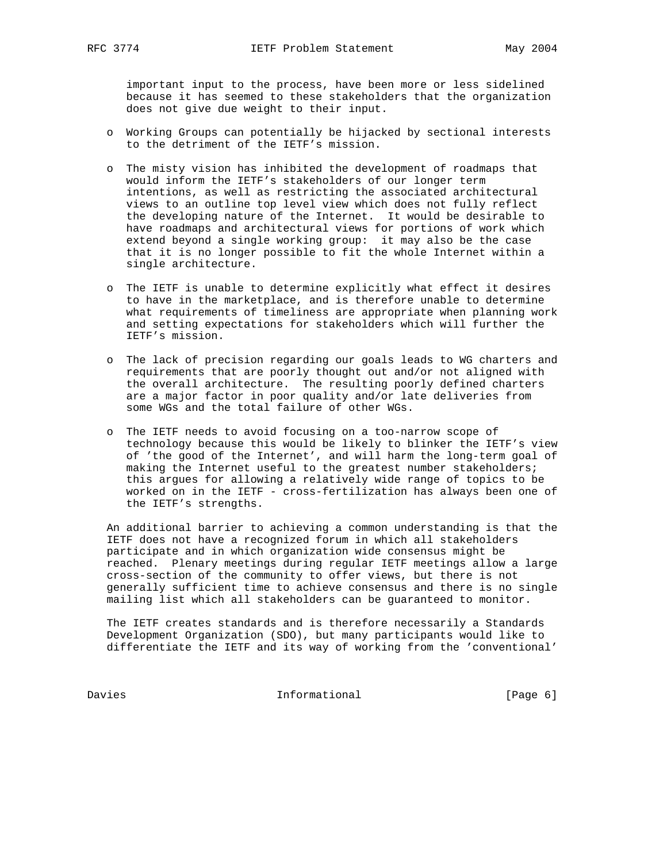important input to the process, have been more or less sidelined because it has seemed to these stakeholders that the organization does not give due weight to their input.

- o Working Groups can potentially be hijacked by sectional interests to the detriment of the IETF's mission.
- o The misty vision has inhibited the development of roadmaps that would inform the IETF's stakeholders of our longer term intentions, as well as restricting the associated architectural views to an outline top level view which does not fully reflect the developing nature of the Internet. It would be desirable to have roadmaps and architectural views for portions of work which extend beyond a single working group: it may also be the case that it is no longer possible to fit the whole Internet within a single architecture.
- o The IETF is unable to determine explicitly what effect it desires to have in the marketplace, and is therefore unable to determine what requirements of timeliness are appropriate when planning work and setting expectations for stakeholders which will further the IETF's mission.
- o The lack of precision regarding our goals leads to WG charters and requirements that are poorly thought out and/or not aligned with the overall architecture. The resulting poorly defined charters are a major factor in poor quality and/or late deliveries from some WGs and the total failure of other WGs.
	- o The IETF needs to avoid focusing on a too-narrow scope of technology because this would be likely to blinker the IETF's view of 'the good of the Internet', and will harm the long-term goal of making the Internet useful to the greatest number stakeholders; this argues for allowing a relatively wide range of topics to be worked on in the IETF - cross-fertilization has always been one of the IETF's strengths.

 An additional barrier to achieving a common understanding is that the IETF does not have a recognized forum in which all stakeholders participate and in which organization wide consensus might be reached. Plenary meetings during regular IETF meetings allow a large cross-section of the community to offer views, but there is not generally sufficient time to achieve consensus and there is no single mailing list which all stakeholders can be guaranteed to monitor.

 The IETF creates standards and is therefore necessarily a Standards Development Organization (SDO), but many participants would like to differentiate the IETF and its way of working from the 'conventional'

Davies 1nformational [Page 6]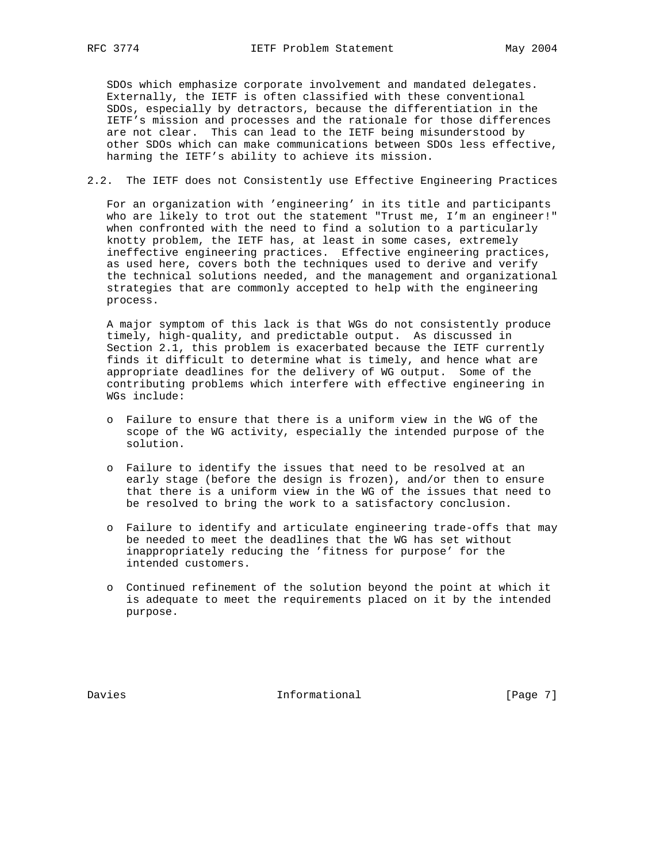SDOs which emphasize corporate involvement and mandated delegates. Externally, the IETF is often classified with these conventional SDOs, especially by detractors, because the differentiation in the IETF's mission and processes and the rationale for those differences are not clear. This can lead to the IETF being misunderstood by other SDOs which can make communications between SDOs less effective, harming the IETF's ability to achieve its mission.

2.2. The IETF does not Consistently use Effective Engineering Practices

 For an organization with 'engineering' in its title and participants who are likely to trot out the statement "Trust me, I'm an engineer!" when confronted with the need to find a solution to a particularly knotty problem, the IETF has, at least in some cases, extremely ineffective engineering practices. Effective engineering practices, as used here, covers both the techniques used to derive and verify the technical solutions needed, and the management and organizational strategies that are commonly accepted to help with the engineering process.

 A major symptom of this lack is that WGs do not consistently produce timely, high-quality, and predictable output. As discussed in Section 2.1, this problem is exacerbated because the IETF currently finds it difficult to determine what is timely, and hence what are appropriate deadlines for the delivery of WG output. Some of the contributing problems which interfere with effective engineering in WGs include:

- o Failure to ensure that there is a uniform view in the WG of the scope of the WG activity, especially the intended purpose of the solution.
- o Failure to identify the issues that need to be resolved at an early stage (before the design is frozen), and/or then to ensure that there is a uniform view in the WG of the issues that need to be resolved to bring the work to a satisfactory conclusion.
- o Failure to identify and articulate engineering trade-offs that may be needed to meet the deadlines that the WG has set without inappropriately reducing the 'fitness for purpose' for the intended customers.
- o Continued refinement of the solution beyond the point at which it is adequate to meet the requirements placed on it by the intended purpose.

Davies **Informational** [Page 7]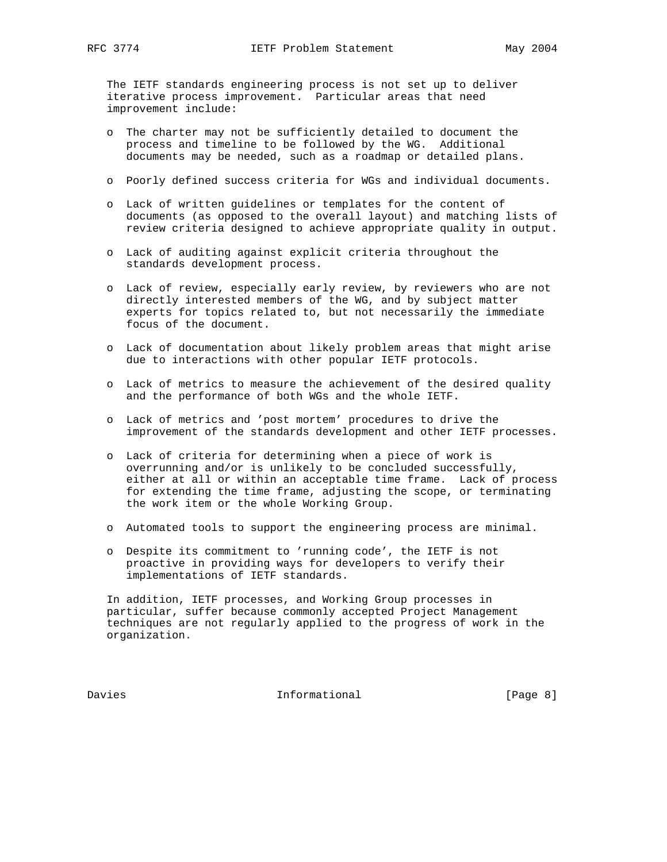The IETF standards engineering process is not set up to deliver iterative process improvement. Particular areas that need improvement include:

- o The charter may not be sufficiently detailed to document the process and timeline to be followed by the WG. Additional documents may be needed, such as a roadmap or detailed plans.
- o Poorly defined success criteria for WGs and individual documents.
- o Lack of written guidelines or templates for the content of documents (as opposed to the overall layout) and matching lists of review criteria designed to achieve appropriate quality in output.
- o Lack of auditing against explicit criteria throughout the standards development process.
- o Lack of review, especially early review, by reviewers who are not directly interested members of the WG, and by subject matter experts for topics related to, but not necessarily the immediate focus of the document.
- o Lack of documentation about likely problem areas that might arise due to interactions with other popular IETF protocols.
- o Lack of metrics to measure the achievement of the desired quality and the performance of both WGs and the whole IETF.
- o Lack of metrics and 'post mortem' procedures to drive the improvement of the standards development and other IETF processes.
- o Lack of criteria for determining when a piece of work is overrunning and/or is unlikely to be concluded successfully, either at all or within an acceptable time frame. Lack of process for extending the time frame, adjusting the scope, or terminating the work item or the whole Working Group.
- o Automated tools to support the engineering process are minimal.
- o Despite its commitment to 'running code', the IETF is not proactive in providing ways for developers to verify their implementations of IETF standards.

 In addition, IETF processes, and Working Group processes in particular, suffer because commonly accepted Project Management techniques are not regularly applied to the progress of work in the organization.

Davies **Informational Informational** [Page 8]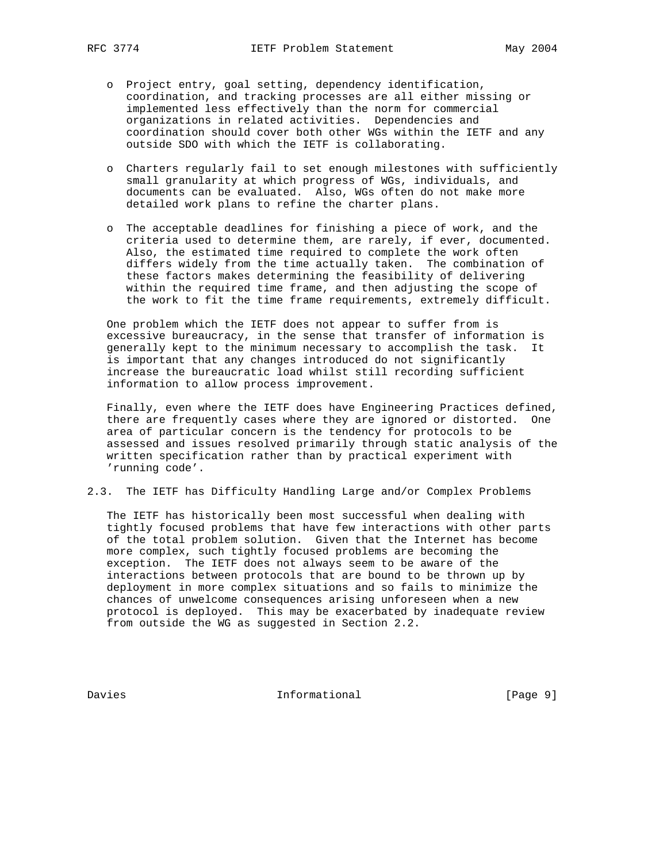- o Project entry, goal setting, dependency identification, coordination, and tracking processes are all either missing or implemented less effectively than the norm for commercial organizations in related activities. Dependencies and coordination should cover both other WGs within the IETF and any outside SDO with which the IETF is collaborating.
- o Charters regularly fail to set enough milestones with sufficiently small granularity at which progress of WGs, individuals, and documents can be evaluated. Also, WGs often do not make more detailed work plans to refine the charter plans.
- o The acceptable deadlines for finishing a piece of work, and the criteria used to determine them, are rarely, if ever, documented. Also, the estimated time required to complete the work often differs widely from the time actually taken. The combination of these factors makes determining the feasibility of delivering within the required time frame, and then adjusting the scope of the work to fit the time frame requirements, extremely difficult.

 One problem which the IETF does not appear to suffer from is excessive bureaucracy, in the sense that transfer of information is generally kept to the minimum necessary to accomplish the task. It is important that any changes introduced do not significantly increase the bureaucratic load whilst still recording sufficient information to allow process improvement.

 Finally, even where the IETF does have Engineering Practices defined, there are frequently cases where they are ignored or distorted. One area of particular concern is the tendency for protocols to be assessed and issues resolved primarily through static analysis of the written specification rather than by practical experiment with 'running code'.

2.3. The IETF has Difficulty Handling Large and/or Complex Problems

 The IETF has historically been most successful when dealing with tightly focused problems that have few interactions with other parts of the total problem solution. Given that the Internet has become more complex, such tightly focused problems are becoming the exception. The IETF does not always seem to be aware of the interactions between protocols that are bound to be thrown up by deployment in more complex situations and so fails to minimize the chances of unwelcome consequences arising unforeseen when a new protocol is deployed. This may be exacerbated by inadequate review from outside the WG as suggested in Section 2.2.

Davies **Informational Informational** [Page 9]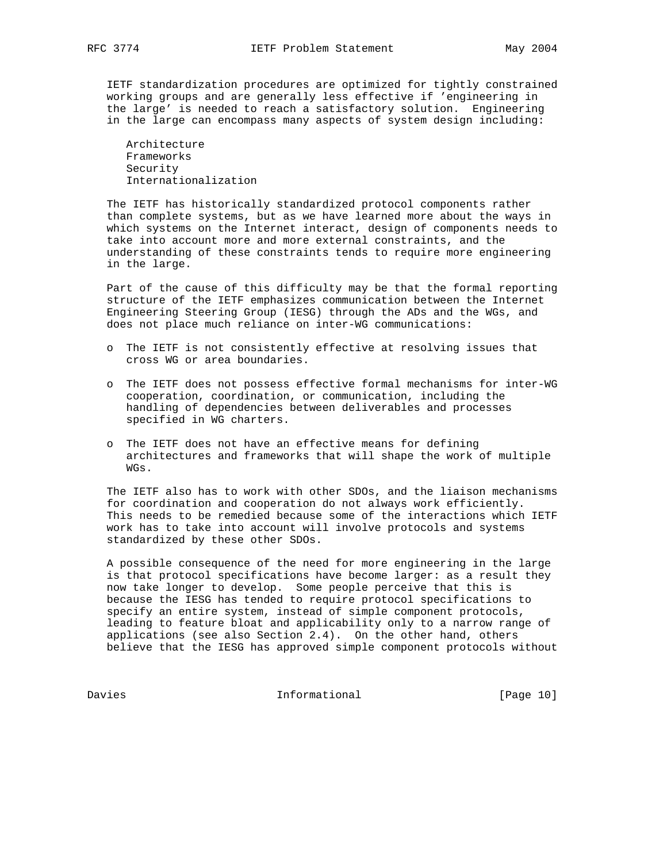IETF standardization procedures are optimized for tightly constrained working groups and are generally less effective if 'engineering in the large' is needed to reach a satisfactory solution. Engineering in the large can encompass many aspects of system design including:

 Architecture Frameworks Security Internationalization

 The IETF has historically standardized protocol components rather than complete systems, but as we have learned more about the ways in which systems on the Internet interact, design of components needs to take into account more and more external constraints, and the understanding of these constraints tends to require more engineering in the large.

 Part of the cause of this difficulty may be that the formal reporting structure of the IETF emphasizes communication between the Internet Engineering Steering Group (IESG) through the ADs and the WGs, and does not place much reliance on inter-WG communications:

- o The IETF is not consistently effective at resolving issues that cross WG or area boundaries.
- o The IETF does not possess effective formal mechanisms for inter-WG cooperation, coordination, or communication, including the handling of dependencies between deliverables and processes specified in WG charters.
- o The IETF does not have an effective means for defining architectures and frameworks that will shape the work of multiple WGs.

 The IETF also has to work with other SDOs, and the liaison mechanisms for coordination and cooperation do not always work efficiently. This needs to be remedied because some of the interactions which IETF work has to take into account will involve protocols and systems standardized by these other SDOs.

 A possible consequence of the need for more engineering in the large is that protocol specifications have become larger: as a result they now take longer to develop. Some people perceive that this is because the IESG has tended to require protocol specifications to specify an entire system, instead of simple component protocols, leading to feature bloat and applicability only to a narrow range of applications (see also Section 2.4). On the other hand, others believe that the IESG has approved simple component protocols without

Davies 101 Informational [Page 10]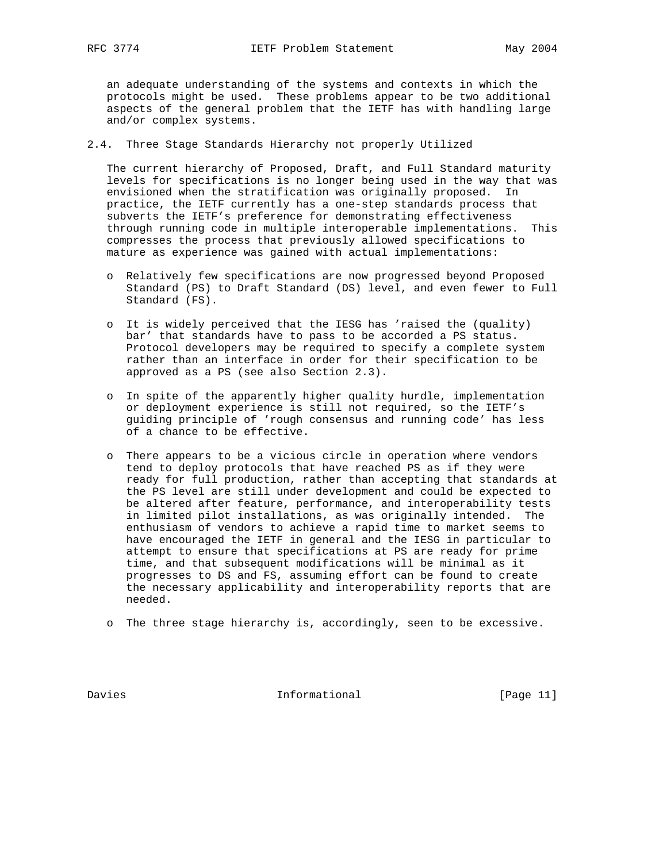an adequate understanding of the systems and contexts in which the protocols might be used. These problems appear to be two additional aspects of the general problem that the IETF has with handling large and/or complex systems.

#### 2.4. Three Stage Standards Hierarchy not properly Utilized

 The current hierarchy of Proposed, Draft, and Full Standard maturity levels for specifications is no longer being used in the way that was envisioned when the stratification was originally proposed. In practice, the IETF currently has a one-step standards process that subverts the IETF's preference for demonstrating effectiveness through running code in multiple interoperable implementations. This compresses the process that previously allowed specifications to mature as experience was gained with actual implementations:

- o Relatively few specifications are now progressed beyond Proposed Standard (PS) to Draft Standard (DS) level, and even fewer to Full Standard (FS).
- o It is widely perceived that the IESG has 'raised the (quality) bar' that standards have to pass to be accorded a PS status. Protocol developers may be required to specify a complete system rather than an interface in order for their specification to be approved as a PS (see also Section 2.3).
- o In spite of the apparently higher quality hurdle, implementation or deployment experience is still not required, so the IETF's guiding principle of 'rough consensus and running code' has less of a chance to be effective.
- o There appears to be a vicious circle in operation where vendors tend to deploy protocols that have reached PS as if they were ready for full production, rather than accepting that standards at the PS level are still under development and could be expected to be altered after feature, performance, and interoperability tests in limited pilot installations, as was originally intended. The enthusiasm of vendors to achieve a rapid time to market seems to have encouraged the IETF in general and the IESG in particular to attempt to ensure that specifications at PS are ready for prime time, and that subsequent modifications will be minimal as it progresses to DS and FS, assuming effort can be found to create the necessary applicability and interoperability reports that are needed.
- o The three stage hierarchy is, accordingly, seen to be excessive.

Davies **Informational** [Page 11]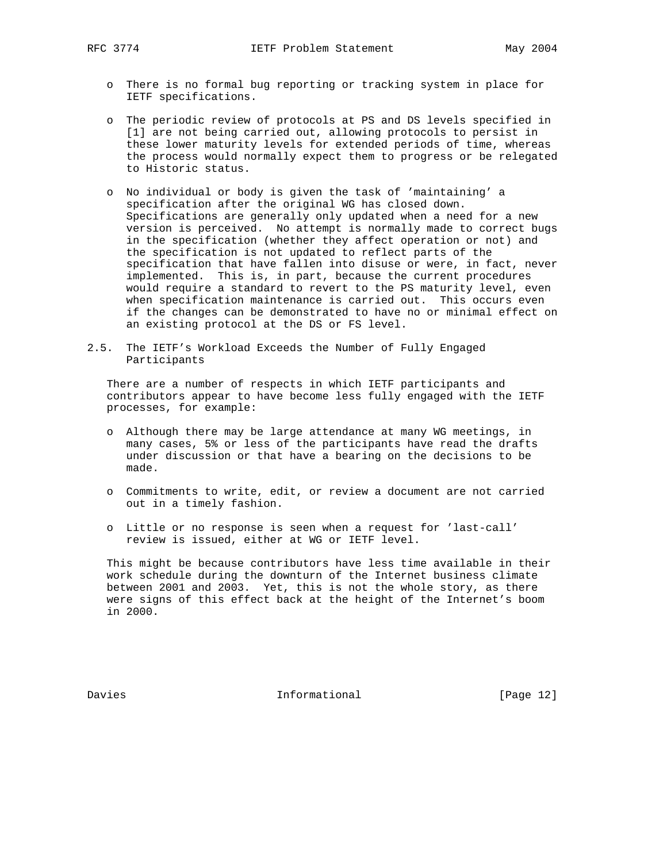- o There is no formal bug reporting or tracking system in place for IETF specifications.
- o The periodic review of protocols at PS and DS levels specified in [1] are not being carried out, allowing protocols to persist in these lower maturity levels for extended periods of time, whereas the process would normally expect them to progress or be relegated to Historic status.
- o No individual or body is given the task of 'maintaining' a specification after the original WG has closed down. Specifications are generally only updated when a need for a new version is perceived. No attempt is normally made to correct bugs in the specification (whether they affect operation or not) and the specification is not updated to reflect parts of the specification that have fallen into disuse or were, in fact, never implemented. This is, in part, because the current procedures would require a standard to revert to the PS maturity level, even when specification maintenance is carried out. This occurs even if the changes can be demonstrated to have no or minimal effect on an existing protocol at the DS or FS level.
- 2.5. The IETF's Workload Exceeds the Number of Fully Engaged Participants

 There are a number of respects in which IETF participants and contributors appear to have become less fully engaged with the IETF processes, for example:

- o Although there may be large attendance at many WG meetings, in many cases, 5% or less of the participants have read the drafts under discussion or that have a bearing on the decisions to be made.
- o Commitments to write, edit, or review a document are not carried out in a timely fashion.
- o Little or no response is seen when a request for 'last-call' review is issued, either at WG or IETF level.

 This might be because contributors have less time available in their work schedule during the downturn of the Internet business climate between 2001 and 2003. Yet, this is not the whole story, as there were signs of this effect back at the height of the Internet's boom in 2000.

Davies **Informational** [Page 12]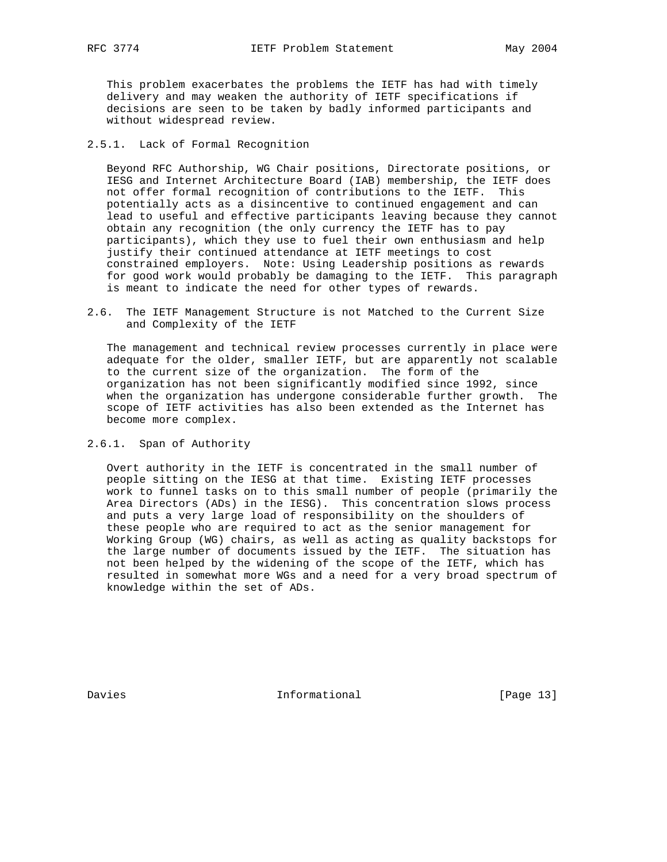This problem exacerbates the problems the IETF has had with timely delivery and may weaken the authority of IETF specifications if decisions are seen to be taken by badly informed participants and without widespread review.

2.5.1. Lack of Formal Recognition

 Beyond RFC Authorship, WG Chair positions, Directorate positions, or IESG and Internet Architecture Board (IAB) membership, the IETF does not offer formal recognition of contributions to the IETF. This potentially acts as a disincentive to continued engagement and can lead to useful and effective participants leaving because they cannot obtain any recognition (the only currency the IETF has to pay participants), which they use to fuel their own enthusiasm and help justify their continued attendance at IETF meetings to cost constrained employers. Note: Using Leadership positions as rewards for good work would probably be damaging to the IETF. This paragraph is meant to indicate the need for other types of rewards.

2.6. The IETF Management Structure is not Matched to the Current Size and Complexity of the IETF

 The management and technical review processes currently in place were adequate for the older, smaller IETF, but are apparently not scalable to the current size of the organization. The form of the organization has not been significantly modified since 1992, since when the organization has undergone considerable further growth. The scope of IETF activities has also been extended as the Internet has become more complex.

2.6.1. Span of Authority

 Overt authority in the IETF is concentrated in the small number of people sitting on the IESG at that time. Existing IETF processes work to funnel tasks on to this small number of people (primarily the Area Directors (ADs) in the IESG). This concentration slows process and puts a very large load of responsibility on the shoulders of these people who are required to act as the senior management for Working Group (WG) chairs, as well as acting as quality backstops for the large number of documents issued by the IETF. The situation has not been helped by the widening of the scope of the IETF, which has resulted in somewhat more WGs and a need for a very broad spectrum of knowledge within the set of ADs.

Davies **Informational** [Page 13]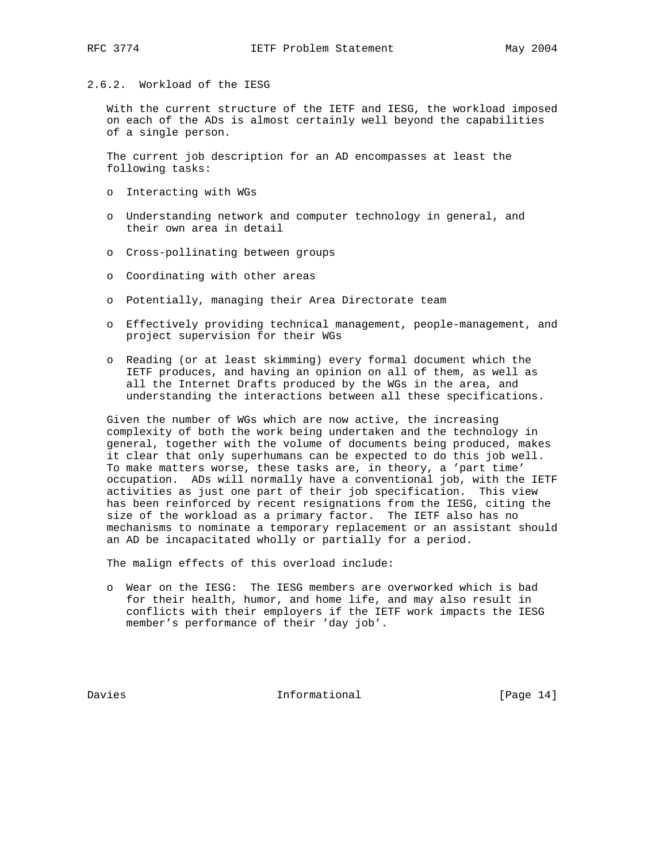#### 2.6.2. Workload of the IESG

 With the current structure of the IETF and IESG, the workload imposed on each of the ADs is almost certainly well beyond the capabilities of a single person.

 The current job description for an AD encompasses at least the following tasks:

- o Interacting with WGs
- o Understanding network and computer technology in general, and their own area in detail
- o Cross-pollinating between groups
- o Coordinating with other areas
- o Potentially, managing their Area Directorate team
- o Effectively providing technical management, people-management, and project supervision for their WGs
- o Reading (or at least skimming) every formal document which the IETF produces, and having an opinion on all of them, as well as all the Internet Drafts produced by the WGs in the area, and understanding the interactions between all these specifications.

 Given the number of WGs which are now active, the increasing complexity of both the work being undertaken and the technology in general, together with the volume of documents being produced, makes it clear that only superhumans can be expected to do this job well. To make matters worse, these tasks are, in theory, a 'part time' occupation. ADs will normally have a conventional job, with the IETF activities as just one part of their job specification. This view has been reinforced by recent resignations from the IESG, citing the size of the workload as a primary factor. The IETF also has no mechanisms to nominate a temporary replacement or an assistant should an AD be incapacitated wholly or partially for a period.

The malign effects of this overload include:

 o Wear on the IESG: The IESG members are overworked which is bad for their health, humor, and home life, and may also result in conflicts with their employers if the IETF work impacts the IESG member's performance of their 'day job'.

Davies Informational [Page 14]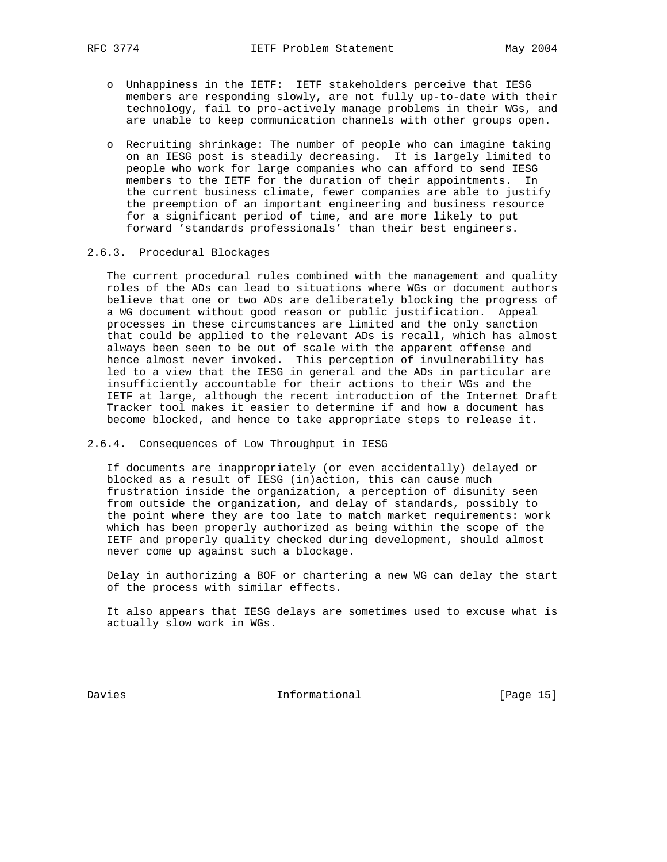- o Unhappiness in the IETF: IETF stakeholders perceive that IESG members are responding slowly, are not fully up-to-date with their technology, fail to pro-actively manage problems in their WGs, and are unable to keep communication channels with other groups open.
- o Recruiting shrinkage: The number of people who can imagine taking on an IESG post is steadily decreasing. It is largely limited to people who work for large companies who can afford to send IESG members to the IETF for the duration of their appointments. In the current business climate, fewer companies are able to justify the preemption of an important engineering and business resource for a significant period of time, and are more likely to put forward 'standards professionals' than their best engineers.

### 2.6.3. Procedural Blockages

 The current procedural rules combined with the management and quality roles of the ADs can lead to situations where WGs or document authors believe that one or two ADs are deliberately blocking the progress of a WG document without good reason or public justification. Appeal processes in these circumstances are limited and the only sanction that could be applied to the relevant ADs is recall, which has almost always been seen to be out of scale with the apparent offense and hence almost never invoked. This perception of invulnerability has led to a view that the IESG in general and the ADs in particular are insufficiently accountable for their actions to their WGs and the IETF at large, although the recent introduction of the Internet Draft Tracker tool makes it easier to determine if and how a document has become blocked, and hence to take appropriate steps to release it.

#### 2.6.4. Consequences of Low Throughput in IESG

 If documents are inappropriately (or even accidentally) delayed or blocked as a result of IESG (in)action, this can cause much frustration inside the organization, a perception of disunity seen from outside the organization, and delay of standards, possibly to the point where they are too late to match market requirements: work which has been properly authorized as being within the scope of the IETF and properly quality checked during development, should almost never come up against such a blockage.

 Delay in authorizing a BOF or chartering a new WG can delay the start of the process with similar effects.

 It also appears that IESG delays are sometimes used to excuse what is actually slow work in WGs.

Davies **Informational** [Page 15]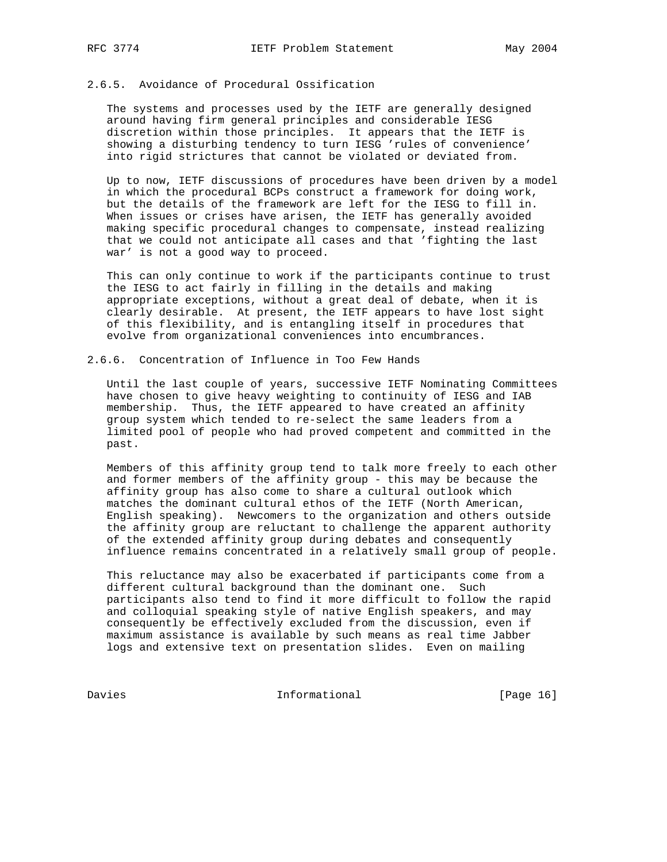## 2.6.5. Avoidance of Procedural Ossification

 The systems and processes used by the IETF are generally designed around having firm general principles and considerable IESG discretion within those principles. It appears that the IETF is showing a disturbing tendency to turn IESG 'rules of convenience' into rigid strictures that cannot be violated or deviated from.

 Up to now, IETF discussions of procedures have been driven by a model in which the procedural BCPs construct a framework for doing work, but the details of the framework are left for the IESG to fill in. When issues or crises have arisen, the IETF has generally avoided making specific procedural changes to compensate, instead realizing that we could not anticipate all cases and that 'fighting the last war' is not a good way to proceed.

 This can only continue to work if the participants continue to trust the IESG to act fairly in filling in the details and making appropriate exceptions, without a great deal of debate, when it is clearly desirable. At present, the IETF appears to have lost sight of this flexibility, and is entangling itself in procedures that evolve from organizational conveniences into encumbrances.

### 2.6.6. Concentration of Influence in Too Few Hands

 Until the last couple of years, successive IETF Nominating Committees have chosen to give heavy weighting to continuity of IESG and IAB membership. Thus, the IETF appeared to have created an affinity group system which tended to re-select the same leaders from a limited pool of people who had proved competent and committed in the past.

 Members of this affinity group tend to talk more freely to each other and former members of the affinity group - this may be because the affinity group has also come to share a cultural outlook which matches the dominant cultural ethos of the IETF (North American, English speaking). Newcomers to the organization and others outside the affinity group are reluctant to challenge the apparent authority of the extended affinity group during debates and consequently influence remains concentrated in a relatively small group of people.

 This reluctance may also be exacerbated if participants come from a different cultural background than the dominant one. Such participants also tend to find it more difficult to follow the rapid and colloquial speaking style of native English speakers, and may consequently be effectively excluded from the discussion, even if maximum assistance is available by such means as real time Jabber logs and extensive text on presentation slides. Even on mailing

Davies 16 Informational [Page 16]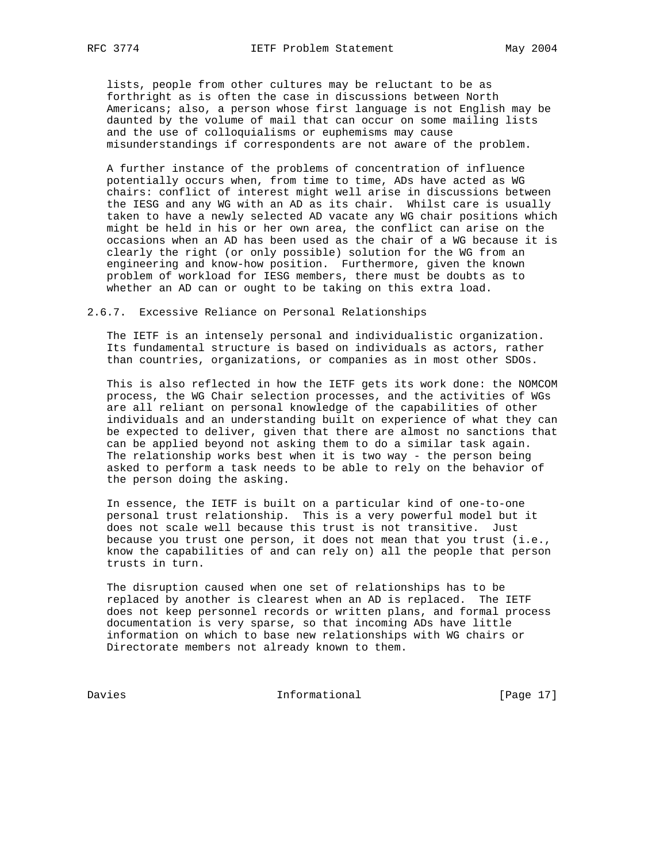lists, people from other cultures may be reluctant to be as forthright as is often the case in discussions between North Americans; also, a person whose first language is not English may be daunted by the volume of mail that can occur on some mailing lists and the use of colloquialisms or euphemisms may cause misunderstandings if correspondents are not aware of the problem.

 A further instance of the problems of concentration of influence potentially occurs when, from time to time, ADs have acted as WG chairs: conflict of interest might well arise in discussions between the IESG and any WG with an AD as its chair. Whilst care is usually taken to have a newly selected AD vacate any WG chair positions which might be held in his or her own area, the conflict can arise on the occasions when an AD has been used as the chair of a WG because it is clearly the right (or only possible) solution for the WG from an engineering and know-how position. Furthermore, given the known problem of workload for IESG members, there must be doubts as to whether an AD can or ought to be taking on this extra load.

2.6.7. Excessive Reliance on Personal Relationships

 The IETF is an intensely personal and individualistic organization. Its fundamental structure is based on individuals as actors, rather than countries, organizations, or companies as in most other SDOs.

 This is also reflected in how the IETF gets its work done: the NOMCOM process, the WG Chair selection processes, and the activities of WGs are all reliant on personal knowledge of the capabilities of other individuals and an understanding built on experience of what they can be expected to deliver, given that there are almost no sanctions that can be applied beyond not asking them to do a similar task again. The relationship works best when it is two way - the person being asked to perform a task needs to be able to rely on the behavior of the person doing the asking.

 In essence, the IETF is built on a particular kind of one-to-one personal trust relationship. This is a very powerful model but it does not scale well because this trust is not transitive. Just because you trust one person, it does not mean that you trust (i.e., know the capabilities of and can rely on) all the people that person trusts in turn.

 The disruption caused when one set of relationships has to be replaced by another is clearest when an AD is replaced. The IETF does not keep personnel records or written plans, and formal process documentation is very sparse, so that incoming ADs have little information on which to base new relationships with WG chairs or Directorate members not already known to them.

Davies 17] Informational [Page 17]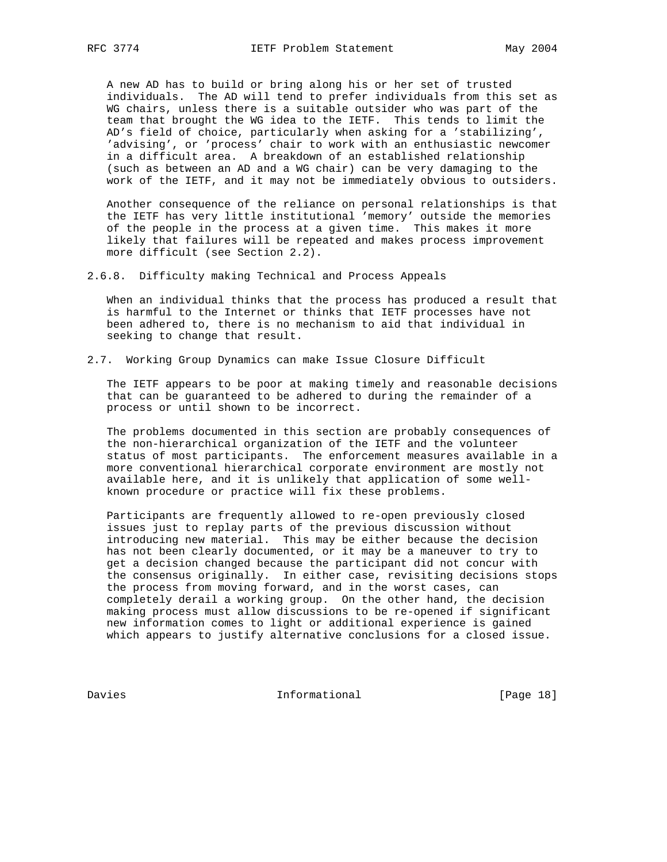A new AD has to build or bring along his or her set of trusted individuals. The AD will tend to prefer individuals from this set as WG chairs, unless there is a suitable outsider who was part of the team that brought the WG idea to the IETF. This tends to limit the AD's field of choice, particularly when asking for a 'stabilizing', 'advising', or 'process' chair to work with an enthusiastic newcomer in a difficult area. A breakdown of an established relationship (such as between an AD and a WG chair) can be very damaging to the work of the IETF, and it may not be immediately obvious to outsiders.

 Another consequence of the reliance on personal relationships is that the IETF has very little institutional 'memory' outside the memories of the people in the process at a given time. This makes it more likely that failures will be repeated and makes process improvement more difficult (see Section 2.2).

2.6.8. Difficulty making Technical and Process Appeals

 When an individual thinks that the process has produced a result that is harmful to the Internet or thinks that IETF processes have not been adhered to, there is no mechanism to aid that individual in seeking to change that result.

2.7. Working Group Dynamics can make Issue Closure Difficult

 The IETF appears to be poor at making timely and reasonable decisions that can be guaranteed to be adhered to during the remainder of a process or until shown to be incorrect.

 The problems documented in this section are probably consequences of the non-hierarchical organization of the IETF and the volunteer status of most participants. The enforcement measures available in a more conventional hierarchical corporate environment are mostly not available here, and it is unlikely that application of some well known procedure or practice will fix these problems.

 Participants are frequently allowed to re-open previously closed issues just to replay parts of the previous discussion without introducing new material. This may be either because the decision has not been clearly documented, or it may be a maneuver to try to get a decision changed because the participant did not concur with the consensus originally. In either case, revisiting decisions stops the process from moving forward, and in the worst cases, can completely derail a working group. On the other hand, the decision making process must allow discussions to be re-opened if significant new information comes to light or additional experience is gained which appears to justify alternative conclusions for a closed issue.

Davies 18 Informational [Page 18]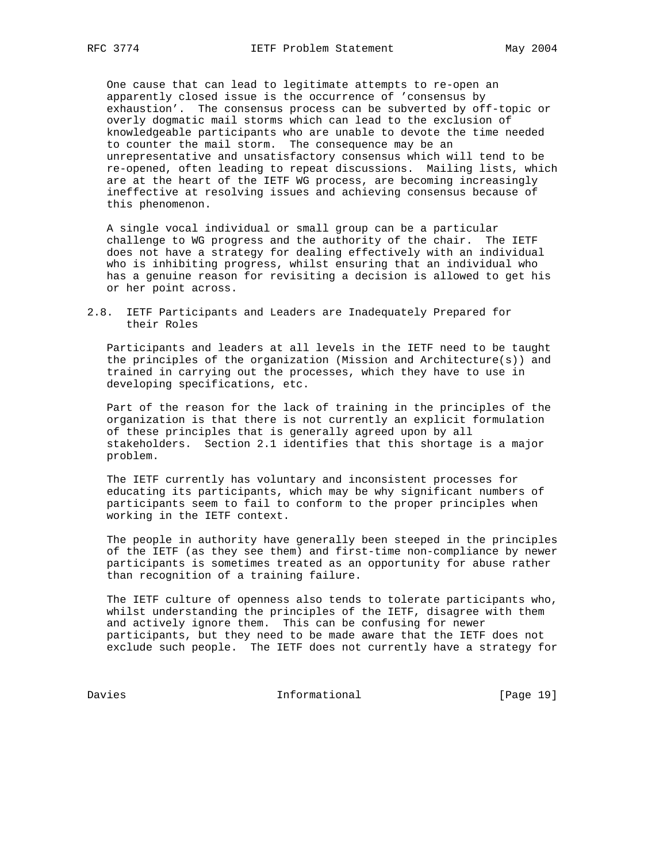One cause that can lead to legitimate attempts to re-open an apparently closed issue is the occurrence of 'consensus by exhaustion'. The consensus process can be subverted by off-topic or overly dogmatic mail storms which can lead to the exclusion of knowledgeable participants who are unable to devote the time needed to counter the mail storm. The consequence may be an unrepresentative and unsatisfactory consensus which will tend to be re-opened, often leading to repeat discussions. Mailing lists, which are at the heart of the IETF WG process, are becoming increasingly ineffective at resolving issues and achieving consensus because of this phenomenon.

 A single vocal individual or small group can be a particular challenge to WG progress and the authority of the chair. The IETF does not have a strategy for dealing effectively with an individual who is inhibiting progress, whilst ensuring that an individual who has a genuine reason for revisiting a decision is allowed to get his or her point across.

2.8. IETF Participants and Leaders are Inadequately Prepared for their Roles

 Participants and leaders at all levels in the IETF need to be taught the principles of the organization (Mission and Architecture(s)) and trained in carrying out the processes, which they have to use in developing specifications, etc.

 Part of the reason for the lack of training in the principles of the organization is that there is not currently an explicit formulation of these principles that is generally agreed upon by all stakeholders. Section 2.1 identifies that this shortage is a major problem.

 The IETF currently has voluntary and inconsistent processes for educating its participants, which may be why significant numbers of participants seem to fail to conform to the proper principles when working in the IETF context.

 The people in authority have generally been steeped in the principles of the IETF (as they see them) and first-time non-compliance by newer participants is sometimes treated as an opportunity for abuse rather than recognition of a training failure.

 The IETF culture of openness also tends to tolerate participants who, whilst understanding the principles of the IETF, disagree with them and actively ignore them. This can be confusing for newer participants, but they need to be made aware that the IETF does not exclude such people. The IETF does not currently have a strategy for

Davies 19 Informational [Page 19]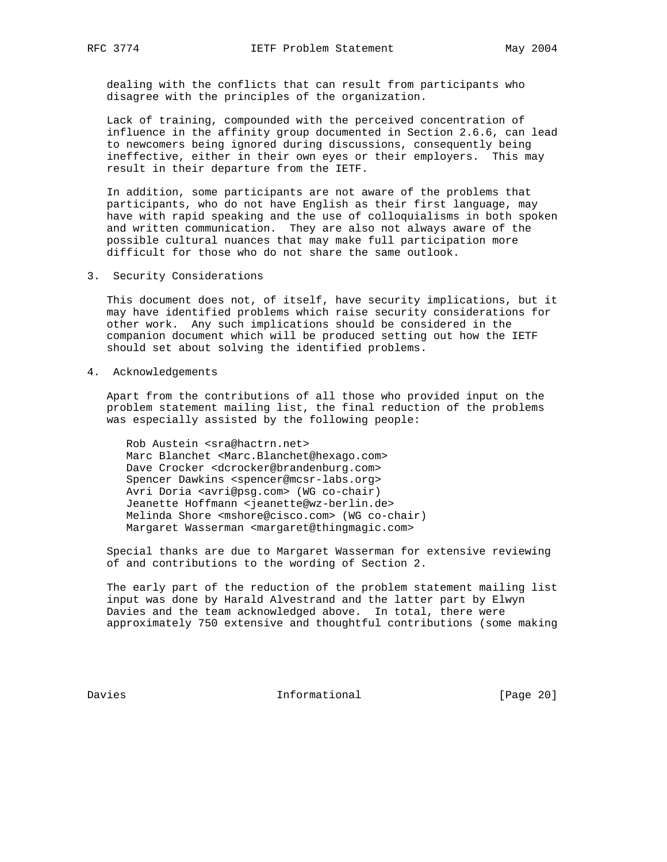dealing with the conflicts that can result from participants who disagree with the principles of the organization.

 Lack of training, compounded with the perceived concentration of influence in the affinity group documented in Section 2.6.6, can lead to newcomers being ignored during discussions, consequently being ineffective, either in their own eyes or their employers. This may result in their departure from the IETF.

 In addition, some participants are not aware of the problems that participants, who do not have English as their first language, may have with rapid speaking and the use of colloquialisms in both spoken and written communication. They are also not always aware of the possible cultural nuances that may make full participation more difficult for those who do not share the same outlook.

3. Security Considerations

 This document does not, of itself, have security implications, but it may have identified problems which raise security considerations for other work. Any such implications should be considered in the companion document which will be produced setting out how the IETF should set about solving the identified problems.

4. Acknowledgements

 Apart from the contributions of all those who provided input on the problem statement mailing list, the final reduction of the problems was especially assisted by the following people:

 Rob Austein <sra@hactrn.net> Marc Blanchet <Marc.Blanchet@hexago.com> Dave Crocker <dcrocker@brandenburg.com> Spencer Dawkins <spencer@mcsr-labs.org> Avri Doria <avri@psg.com> (WG co-chair) Jeanette Hoffmann <jeanette@wz-berlin.de> Melinda Shore <mshore@cisco.com> (WG co-chair) Margaret Wasserman <margaret@thingmagic.com>

 Special thanks are due to Margaret Wasserman for extensive reviewing of and contributions to the wording of Section 2.

 The early part of the reduction of the problem statement mailing list input was done by Harald Alvestrand and the latter part by Elwyn Davies and the team acknowledged above. In total, there were approximately 750 extensive and thoughtful contributions (some making

Davies **Informational** [Page 20]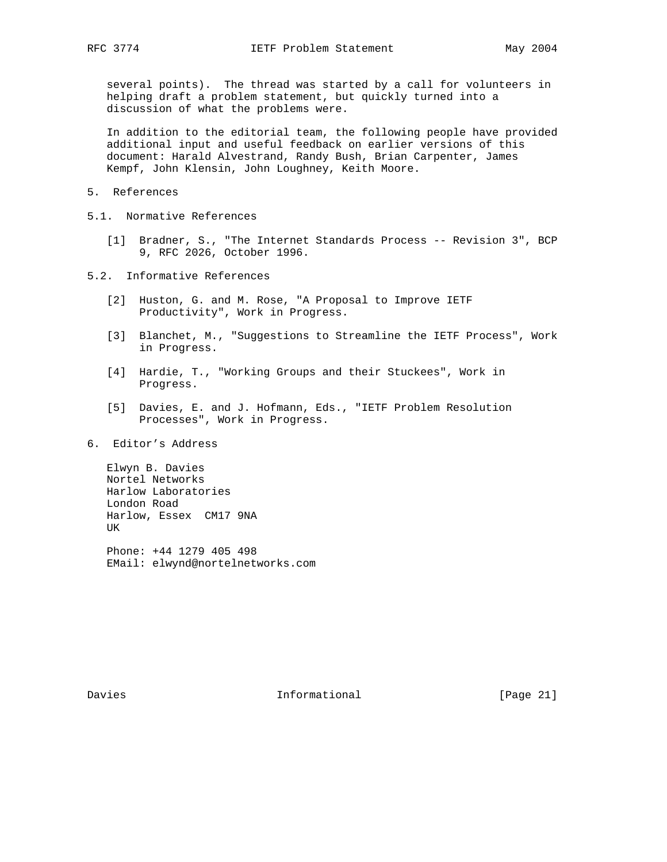several points). The thread was started by a call for volunteers in helping draft a problem statement, but quickly turned into a discussion of what the problems were.

 In addition to the editorial team, the following people have provided additional input and useful feedback on earlier versions of this document: Harald Alvestrand, Randy Bush, Brian Carpenter, James Kempf, John Klensin, John Loughney, Keith Moore.

- 5. References
- 5.1. Normative References
	- [1] Bradner, S., "The Internet Standards Process -- Revision 3", BCP 9, RFC 2026, October 1996.
- 5.2. Informative References
	- [2] Huston, G. and M. Rose, "A Proposal to Improve IETF Productivity", Work in Progress.
	- [3] Blanchet, M., "Suggestions to Streamline the IETF Process", Work in Progress.
	- [4] Hardie, T., "Working Groups and their Stuckees", Work in Progress.
	- [5] Davies, E. and J. Hofmann, Eds., "IETF Problem Resolution Processes", Work in Progress.
- 6. Editor's Address

 Elwyn B. Davies Nortel Networks Harlow Laboratories London Road Harlow, Essex CM17 9NA UK

 Phone: +44 1279 405 498 EMail: elwynd@nortelnetworks.com

Davies **Informational** [Page 21]